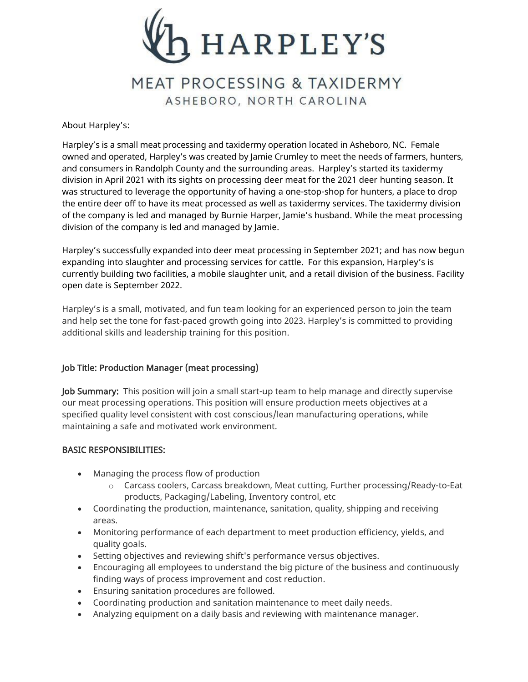

# MEAT PROCESSING & TAXIDERMY ASHEBORO, NORTH CAROLINA

## About Harpley's:

Harpley's is a small meat processing and taxidermy operation located in Asheboro, NC. Female owned and operated, Harpley's was created by Jamie Crumley to meet the needs of farmers, hunters, and consumers in Randolph County and the surrounding areas. Harpley's started its taxidermy division in April 2021 with its sights on processing deer meat for the 2021 deer hunting season. It was structured to leverage the opportunity of having a one-stop-shop for hunters, a place to drop the entire deer off to have its meat processed as well as taxidermy services. The taxidermy division of the company is led and managed by Burnie Harper, Jamie's husband. While the meat processing division of the company is led and managed by Jamie.

Harpley's successfully expanded into deer meat processing in September 2021; and has now begun expanding into slaughter and processing services for cattle. For this expansion, Harpley's is currently building two facilities, a mobile slaughter unit, and a retail division of the business. Facility open date is September 2022.

Harpley's is a small, motivated, and fun team looking for an experienced person to join the team and help set the tone for fast-paced growth going into 2023. Harpley's is committed to providing additional skills and leadership training for this position.

## Job Title: Production Manager (meat processing)

Job Summary: This position will join a small start-up team to help manage and directly supervise our meat processing operations. This position will ensure production meets objectives at a specified quality level consistent with cost conscious/lean manufacturing operations, while maintaining a safe and motivated work environment.

## BASIC RESPONSIBILITIES:

- Managing the process flow of production
	- $\circ$  Carcass coolers, Carcass breakdown, Meat cutting, Further processing/Ready-to-Eat products, Packaging/Labeling, Inventory control, etc
- Coordinating the production, maintenance, sanitation, quality, shipping and receiving areas.
- Monitoring performance of each department to meet production efficiency, yields, and quality goals.
- Setting objectives and reviewing shift's performance versus objectives.
- Encouraging all employees to understand the big picture of the business and continuously finding ways of process improvement and cost reduction.
- Ensuring sanitation procedures are followed.
- Coordinating production and sanitation maintenance to meet daily needs.
- Analyzing equipment on a daily basis and reviewing with maintenance manager.